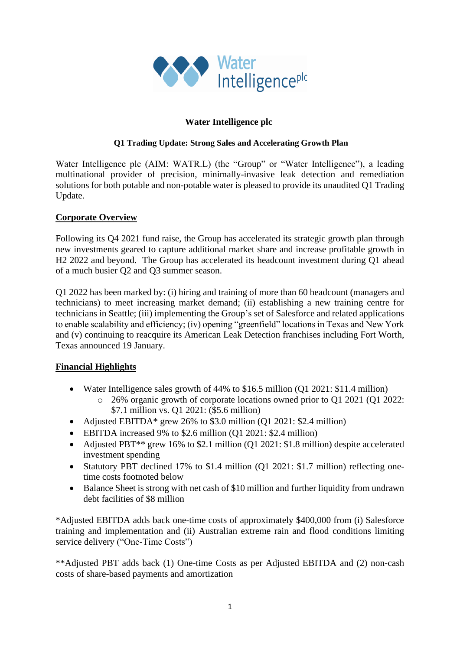

# **Water Intelligence plc**

#### **Q1 Trading Update: Strong Sales and Accelerating Growth Plan**

Water Intelligence plc (AIM: WATR.L) (the "Group" or "Water Intelligence"), a leading multinational provider of precision, minimally-invasive leak detection and remediation solutions for both potable and non-potable water is pleased to provide its unaudited Q1 Trading Update.

#### **Corporate Overview**

Following its Q4 2021 fund raise, the Group has accelerated its strategic growth plan through new investments geared to capture additional market share and increase profitable growth in H2 2022 and beyond. The Group has accelerated its headcount investment during Q1 ahead of a much busier Q2 and Q3 summer season.

Q1 2022 has been marked by: (i) hiring and training of more than 60 headcount (managers and technicians) to meet increasing market demand; (ii) establishing a new training centre for technicians in Seattle; (iii) implementing the Group's set of Salesforce and related applications to enable scalability and efficiency; (iv) opening "greenfield" locations in Texas and New York and (v) continuing to reacquire its American Leak Detection franchises including Fort Worth, Texas announced 19 January.

### **Financial Highlights**

- Water Intelligence sales growth of 44% to \$16.5 million (Q1 2021: \$11.4 million)
	- o 26% organic growth of corporate locations owned prior to Q1 2021 (Q1 2022: \$7.1 million vs. Q1 2021: (\$5.6 million)
- Adjusted EBITDA\* grew 26% to \$3.0 million (Q1 2021: \$2.4 million)
- EBITDA increased 9% to \$2.6 million (Q1 2021: \$2.4 million)
- Adjusted PBT<sup>\*\*</sup> grew 16% to \$2.1 million (Q1 2021: \$1.8 million) despite accelerated investment spending
- Statutory PBT declined 17% to \$1.4 million (Q1 2021: \$1.7 million) reflecting onetime costs footnoted below
- Balance Sheet is strong with net cash of \$10 million and further liquidity from undrawn debt facilities of \$8 million

\*Adjusted EBITDA adds back one-time costs of approximately \$400,000 from (i) Salesforce training and implementation and (ii) Australian extreme rain and flood conditions limiting service delivery ("One-Time Costs")

\*\*Adjusted PBT adds back (1) One-time Costs as per Adjusted EBITDA and (2) non-cash costs of share-based payments and amortization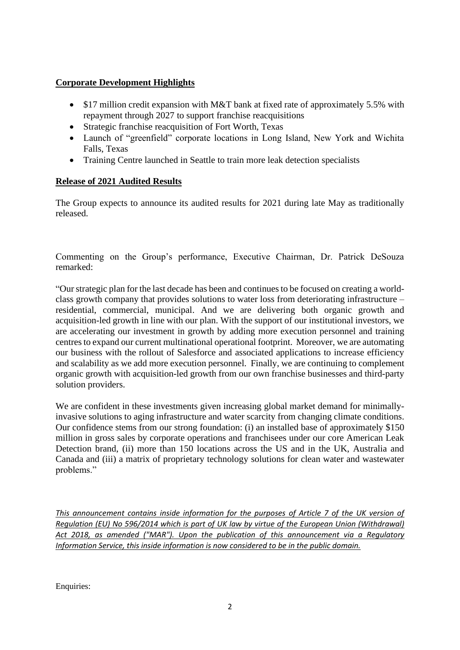## **Corporate Development Highlights**

- \$17 million credit expansion with M&T bank at fixed rate of approximately 5.5% with repayment through 2027 to support franchise reacquisitions
- Strategic franchise reacquisition of Fort Worth, Texas
- Launch of "greenfield" corporate locations in Long Island, New York and Wichita Falls, Texas
- Training Centre launched in Seattle to train more leak detection specialists

## **Release of 2021 Audited Results**

The Group expects to announce its audited results for 2021 during late May as traditionally released.

Commenting on the Group's performance, Executive Chairman, Dr. Patrick DeSouza remarked:

"Our strategic plan for the last decade has been and continues to be focused on creating a worldclass growth company that provides solutions to water loss from deteriorating infrastructure – residential, commercial, municipal. And we are delivering both organic growth and acquisition-led growth in line with our plan. With the support of our institutional investors, we are accelerating our investment in growth by adding more execution personnel and training centresto expand our current multinational operational footprint. Moreover, we are automating our business with the rollout of Salesforce and associated applications to increase efficiency and scalability as we add more execution personnel. Finally, we are continuing to complement organic growth with acquisition-led growth from our own franchise businesses and third-party solution providers.

We are confident in these investments given increasing global market demand for minimallyinvasive solutions to aging infrastructure and water scarcity from changing climate conditions. Our confidence stems from our strong foundation: (i) an installed base of approximately \$150 million in gross sales by corporate operations and franchisees under our core American Leak Detection brand, (ii) more than 150 locations across the US and in the UK, Australia and Canada and (iii) a matrix of proprietary technology solutions for clean water and wastewater problems."

*This announcement contains inside information for the purposes of Article 7 of the UK version of Regulation (EU) No 596/2014 which is part of UK law by virtue of the European Union (Withdrawal) Act 2018, as amended ("MAR"). Upon the publication of this announcement via a Regulatory Information Service, this inside information is now considered to be in the public domain.*

Enquiries: